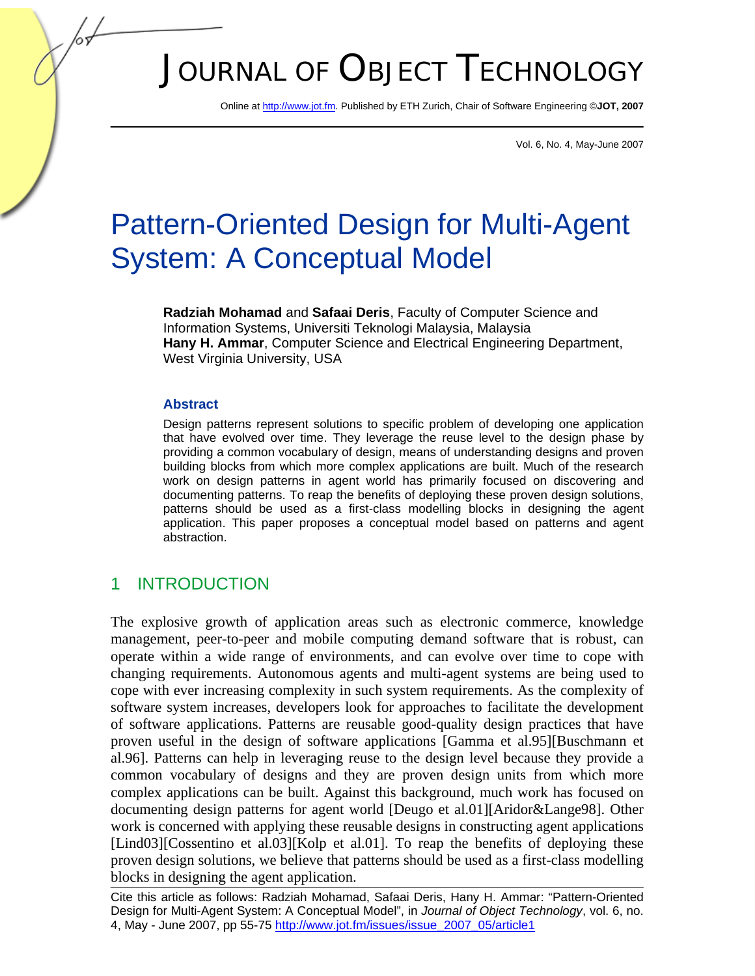# JOURNAL OF OBJECT TECHNOLOGY

Online at http://www.jot.fm. Published by ETH Zurich, Chair of Software Engineering ©**JOT, 2007** 

Vol. 6, No. 4, May-June 2007

# Pattern-Oriented Design for Multi-Agent System: A Conceptual Model

**Radziah Mohamad** and **Safaai Deris**, Faculty of Computer Science and Information Systems, Universiti Teknologi Malaysia, Malaysia **Hany H. Ammar**, Computer Science and Electrical Engineering Department, West Virginia University, USA

#### **Abstract**

Design patterns represent solutions to specific problem of developing one application that have evolved over time. They leverage the reuse level to the design phase by providing a common vocabulary of design, means of understanding designs and proven building blocks from which more complex applications are built. Much of the research work on design patterns in agent world has primarily focused on discovering and documenting patterns. To reap the benefits of deploying these proven design solutions, patterns should be used as a first-class modelling blocks in designing the agent application. This paper proposes a conceptual model based on patterns and agent abstraction.

## 1 INTRODUCTION

The explosive growth of application areas such as electronic commerce, knowledge management, peer-to-peer and mobile computing demand software that is robust, can operate within a wide range of environments, and can evolve over time to cope with changing requirements. Autonomous agents and multi-agent systems are being used to cope with ever increasing complexity in such system requirements. As the complexity of software system increases, developers look for approaches to facilitate the development of software applications. Patterns are reusable good-quality design practices that have proven useful in the design of software applications [Gamma et al.95][Buschmann et al.96]. Patterns can help in leveraging reuse to the design level because they provide a common vocabulary of designs and they are proven design units from which more complex applications can be built. Against this background, much work has focused on documenting design patterns for agent world [Deugo et al.01][Aridor&Lange98]. Other work is concerned with applying these reusable designs in constructing agent applications [Lind03][Cossentino et al.03][Kolp et al.01]. To reap the benefits of deploying these proven design solutions, we believe that patterns should be used as a first-class modelling blocks in designing the agent application.

Cite this article as follows: Radziah Mohamad, Safaai Deris, Hany H. Ammar: "Pattern-Oriented Design for Multi-Agent System: A Conceptual Model", in *Journal of Object Technology*, vol. 6, no. 4, May - June 2007, pp 55-75 http://www.jot.fm/issues/issue\_2007\_05/article1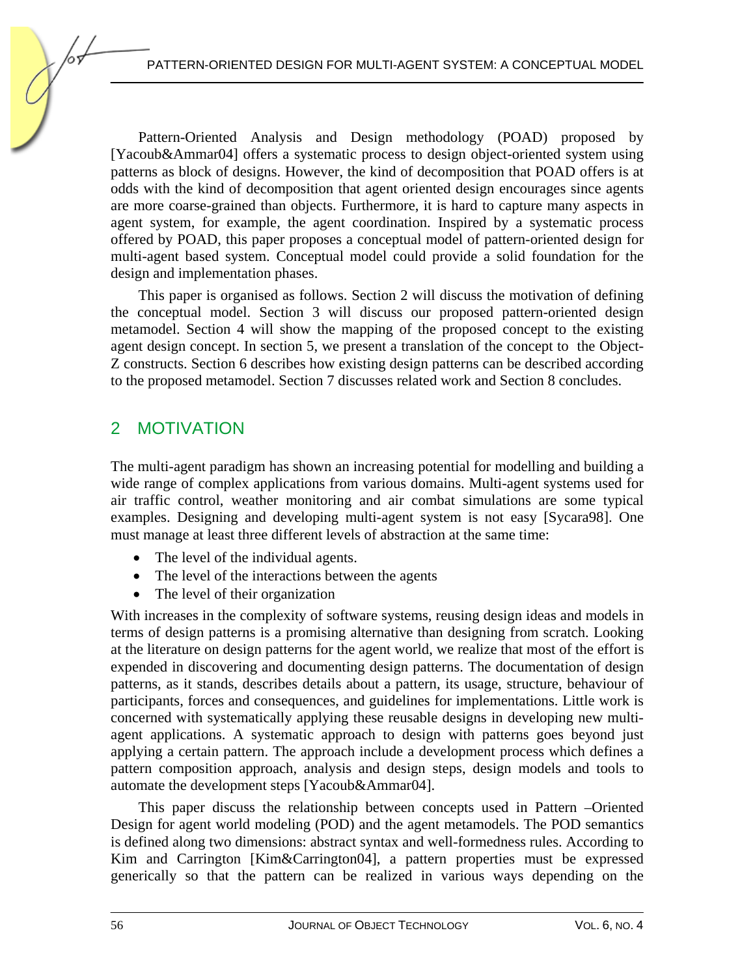Pattern-Oriented Analysis and Design methodology (POAD) proposed by [Yacoub&Ammar04] offers a systematic process to design object-oriented system using patterns as block of designs. However, the kind of decomposition that POAD offers is at odds with the kind of decomposition that agent oriented design encourages since agents are more coarse-grained than objects. Furthermore, it is hard to capture many aspects in agent system, for example, the agent coordination. Inspired by a systematic process offered by POAD, this paper proposes a conceptual model of pattern-oriented design for multi-agent based system. Conceptual model could provide a solid foundation for the design and implementation phases.

This paper is organised as follows. Section 2 will discuss the motivation of defining the conceptual model. Section 3 will discuss our proposed pattern-oriented design metamodel. Section 4 will show the mapping of the proposed concept to the existing agent design concept. In section 5, we present a translation of the concept to the Object-Z constructs. Section 6 describes how existing design patterns can be described according to the proposed metamodel. Section 7 discusses related work and Section 8 concludes.

# 2 MOTIVATION

The multi-agent paradigm has shown an increasing potential for modelling and building a wide range of complex applications from various domains. Multi-agent systems used for air traffic control, weather monitoring and air combat simulations are some typical examples. Designing and developing multi-agent system is not easy [Sycara98]. One must manage at least three different levels of abstraction at the same time:

- The level of the individual agents.
- The level of the interactions between the agents
- The level of their organization

With increases in the complexity of software systems, reusing design ideas and models in terms of design patterns is a promising alternative than designing from scratch. Looking at the literature on design patterns for the agent world, we realize that most of the effort is expended in discovering and documenting design patterns. The documentation of design patterns, as it stands, describes details about a pattern, its usage, structure, behaviour of participants, forces and consequences, and guidelines for implementations. Little work is concerned with systematically applying these reusable designs in developing new multiagent applications. A systematic approach to design with patterns goes beyond just applying a certain pattern. The approach include a development process which defines a pattern composition approach, analysis and design steps, design models and tools to automate the development steps [Yacoub&Ammar04].

This paper discuss the relationship between concepts used in Pattern –Oriented Design for agent world modeling (POD) and the agent metamodels. The POD semantics is defined along two dimensions: abstract syntax and well-formedness rules. According to Kim and Carrington [Kim&Carrington04], a pattern properties must be expressed generically so that the pattern can be realized in various ways depending on the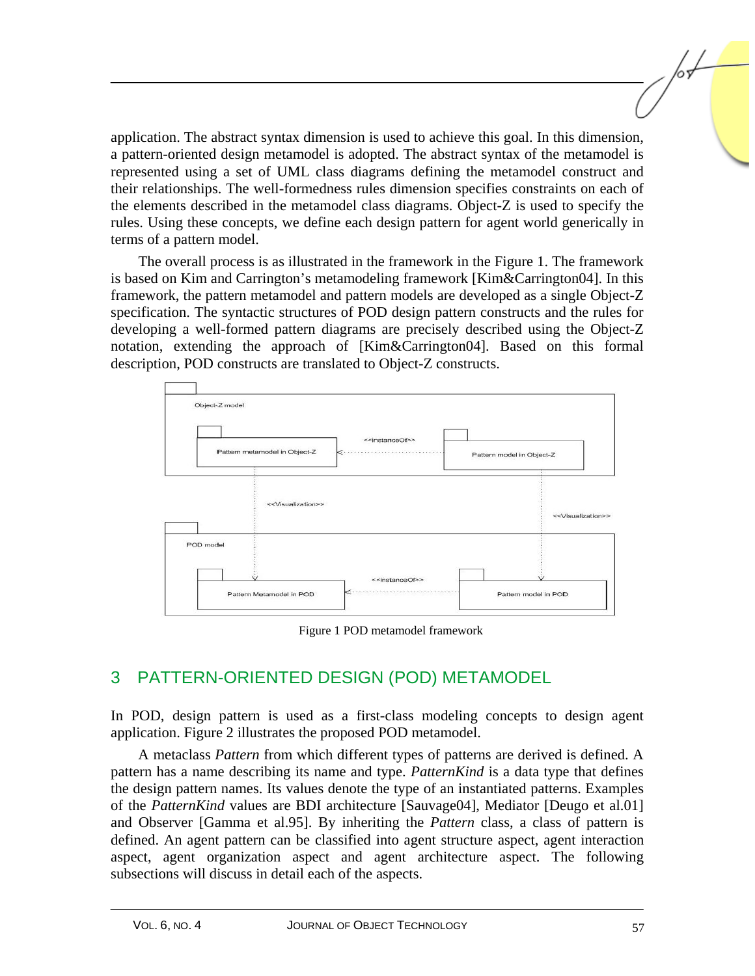application. The abstract syntax dimension is used to achieve this goal. In this dimension, a pattern-oriented design metamodel is adopted. The abstract syntax of the metamodel is represented using a set of UML class diagrams defining the metamodel construct and their relationships. The well-formedness rules dimension specifies constraints on each of the elements described in the metamodel class diagrams. Object-Z is used to specify the rules. Using these concepts, we define each design pattern for agent world generically in terms of a pattern model.

The overall process is as illustrated in the framework in the Figure 1. The framework is based on Kim and Carrington's metamodeling framework [Kim&Carrington04]. In this framework, the pattern metamodel and pattern models are developed as a single Object-Z specification. The syntactic structures of POD design pattern constructs and the rules for developing a well-formed pattern diagrams are precisely described using the Object-Z notation, extending the approach of [Kim&Carrington04]. Based on this formal description, POD constructs are translated to Object-Z constructs.



Figure 1 POD metamodel framework

# 3 PATTERN-ORIENTED DESIGN (POD) METAMODEL

In POD, design pattern is used as a first-class modeling concepts to design agent application. Figure 2 illustrates the proposed POD metamodel.

A metaclass *Pattern* from which different types of patterns are derived is defined. A pattern has a name describing its name and type. *PatternKind* is a data type that defines the design pattern names. Its values denote the type of an instantiated patterns. Examples of the *PatternKind* values are BDI architecture [Sauvage04], Mediator [Deugo et al.01] and Observer [Gamma et al.95]. By inheriting the *Pattern* class, a class of pattern is defined. An agent pattern can be classified into agent structure aspect, agent interaction aspect, agent organization aspect and agent architecture aspect. The following subsections will discuss in detail each of the aspects.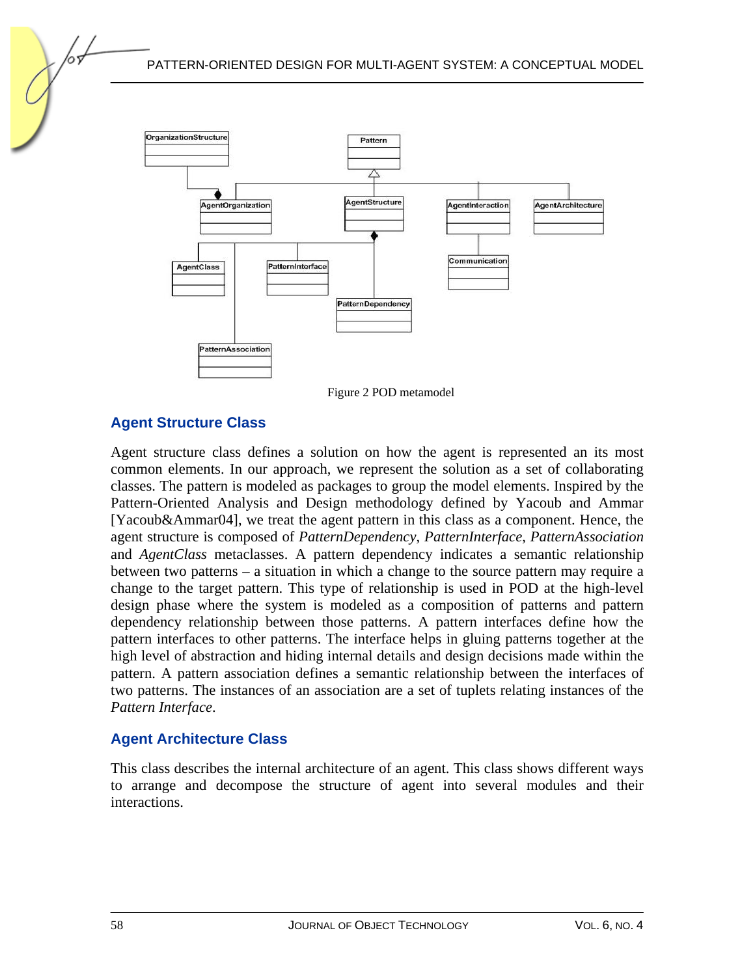

Figure 2 POD metamodel

## **Agent Structure Class**

Agent structure class defines a solution on how the agent is represented an its most common elements. In our approach, we represent the solution as a set of collaborating classes. The pattern is modeled as packages to group the model elements. Inspired by the Pattern-Oriented Analysis and Design methodology defined by Yacoub and Ammar [Yacoub&Ammar04], we treat the agent pattern in this class as a component. Hence, the agent structure is composed of *PatternDependency*, *PatternInterface*, *PatternAssociation* and *AgentClass* metaclasses. A pattern dependency indicates a semantic relationship between two patterns – a situation in which a change to the source pattern may require a change to the target pattern. This type of relationship is used in POD at the high-level design phase where the system is modeled as a composition of patterns and pattern dependency relationship between those patterns. A pattern interfaces define how the pattern interfaces to other patterns. The interface helps in gluing patterns together at the high level of abstraction and hiding internal details and design decisions made within the pattern. A pattern association defines a semantic relationship between the interfaces of two patterns. The instances of an association are a set of tuplets relating instances of the *Pattern Interface*.

#### **Agent Architecture Class**

This class describes the internal architecture of an agent. This class shows different ways to arrange and decompose the structure of agent into several modules and their interactions.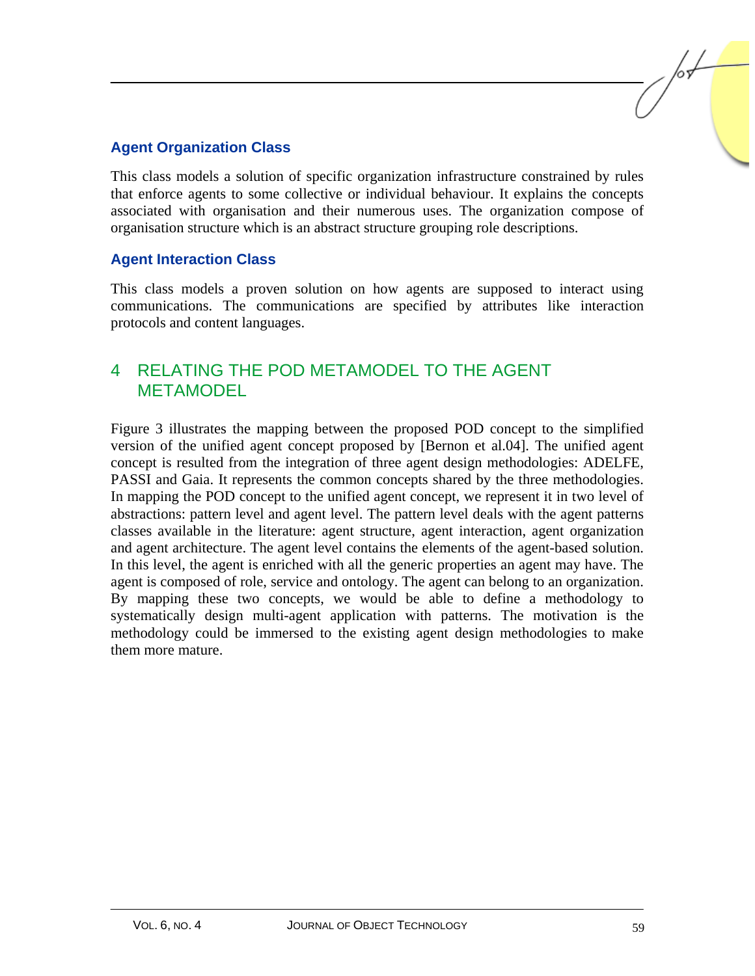## **Agent Organization Class**

This class models a solution of specific organization infrastructure constrained by rules that enforce agents to some collective or individual behaviour. It explains the concepts associated with organisation and their numerous uses. The organization compose of organisation structure which is an abstract structure grouping role descriptions.

### **Agent Interaction Class**

This class models a proven solution on how agents are supposed to interact using communications. The communications are specified by attributes like interaction protocols and content languages.

## 4 RELATING THE POD METAMODEL TO THE AGENT METAMODEL

Figure 3 illustrates the mapping between the proposed POD concept to the simplified version of the unified agent concept proposed by [Bernon et al.04]. The unified agent concept is resulted from the integration of three agent design methodologies: ADELFE, PASSI and Gaia. It represents the common concepts shared by the three methodologies. In mapping the POD concept to the unified agent concept, we represent it in two level of abstractions: pattern level and agent level. The pattern level deals with the agent patterns classes available in the literature: agent structure, agent interaction, agent organization and agent architecture. The agent level contains the elements of the agent-based solution. In this level, the agent is enriched with all the generic properties an agent may have. The agent is composed of role, service and ontology. The agent can belong to an organization. By mapping these two concepts, we would be able to define a methodology to systematically design multi-agent application with patterns. The motivation is the methodology could be immersed to the existing agent design methodologies to make them more mature.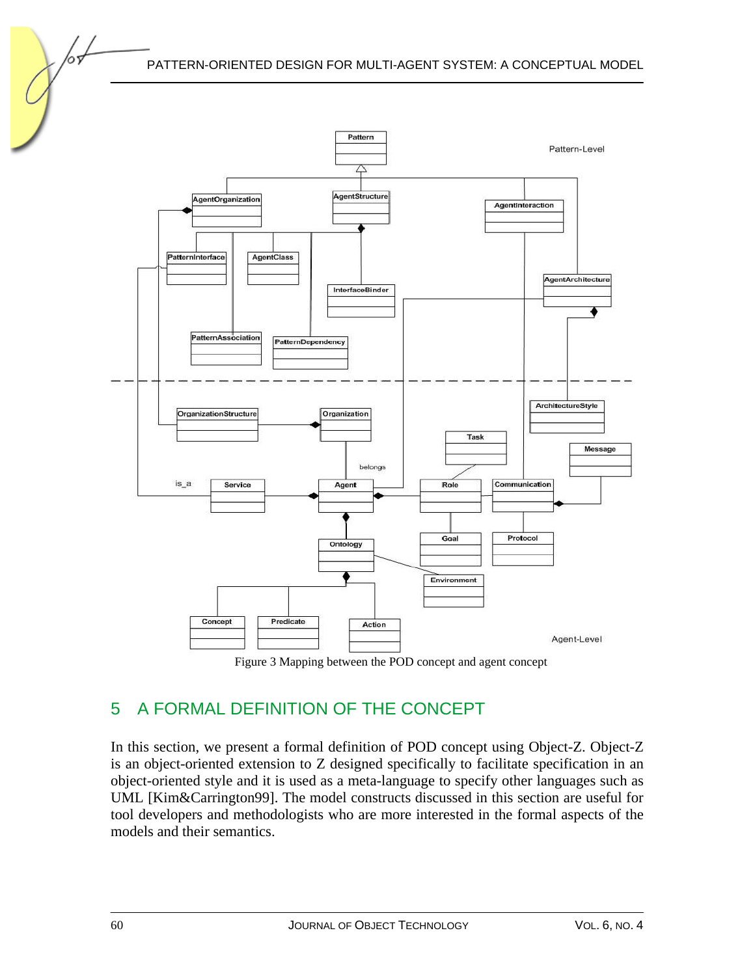

Figure 3 Mapping between the POD concept and agent concept

# 5 A FORMAL DEFINITION OF THE CONCEPT

In this section, we present a formal definition of POD concept using Object-Z. Object-Z is an object-oriented extension to Z designed specifically to facilitate specification in an object-oriented style and it is used as a meta-language to specify other languages such as UML [Kim&Carrington99]. The model constructs discussed in this section are useful for tool developers and methodologists who are more interested in the formal aspects of the models and their semantics.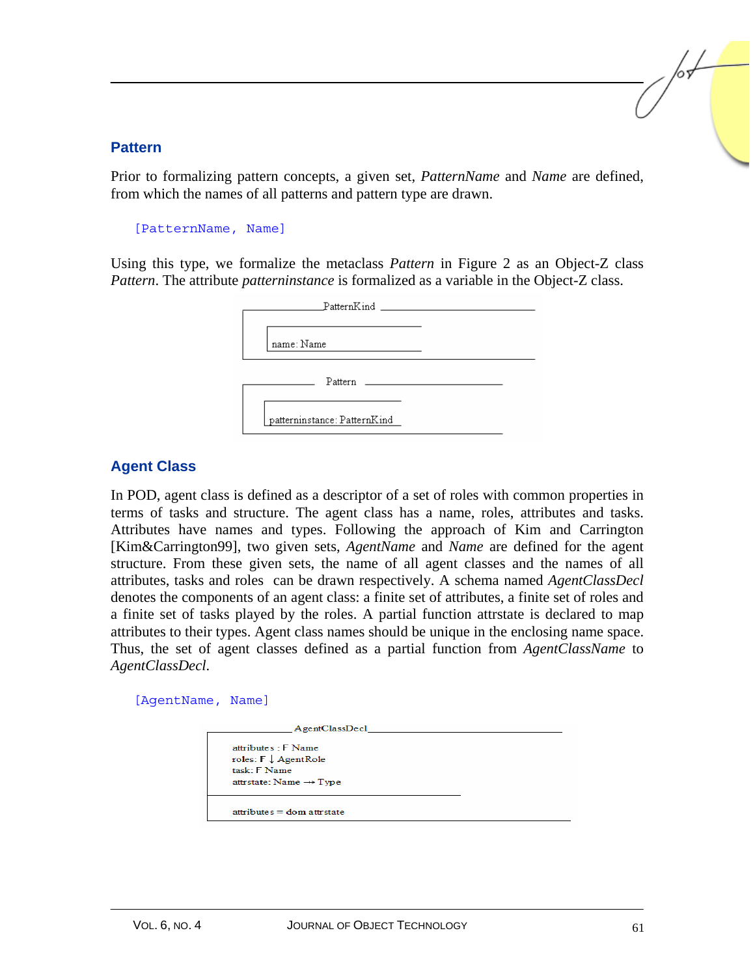#### **Pattern**

Prior to formalizing pattern concepts, a given set, *PatternName* and *Name* are defined, from which the names of all patterns and pattern type are drawn.

```
[PatternName, Name]
```
Using this type, we formalize the metaclass *Pattern* in Figure 2 as an Object-Z class *Pattern*. The attribute *patterninstance* is formalized as a variable in the Object-Z class.

| PatternKind and the control of the control of the control of the control of the control of the control of the control of the control of the control of the control of the control of the control of the control of the control |  |
|--------------------------------------------------------------------------------------------------------------------------------------------------------------------------------------------------------------------------------|--|
| name: Name                                                                                                                                                                                                                     |  |
|                                                                                                                                                                                                                                |  |
| patterninstance: PatternKind                                                                                                                                                                                                   |  |

## **Agent Class**

In POD, agent class is defined as a descriptor of a set of roles with common properties in terms of tasks and structure. The agent class has a name, roles, attributes and tasks. Attributes have names and types. Following the approach of Kim and Carrington [Kim&Carrington99], two given sets, *AgentName* and *Name* are defined for the agent structure. From these given sets, the name of all agent classes and the names of all attributes, tasks and roles can be drawn respectively. A schema named *AgentClassDecl* denotes the components of an agent class: a finite set of attributes, a finite set of roles and a finite set of tasks played by the roles. A partial function attrstate is declared to map attributes to their types. Agent class names should be unique in the enclosing name space. Thus, the set of agent classes defined as a partial function from *AgentClassName* to *AgentClassDecl*.

[AgentName, Name]

| AgentClassDecl                                                                                                |  |
|---------------------------------------------------------------------------------------------------------------|--|
| attributes : F Name<br>roles: $F \downarrow$ AgentRole<br>task: F Name<br>attristate: Name $\rightarrow$ Type |  |
| $attributes = dom attrstate$                                                                                  |  |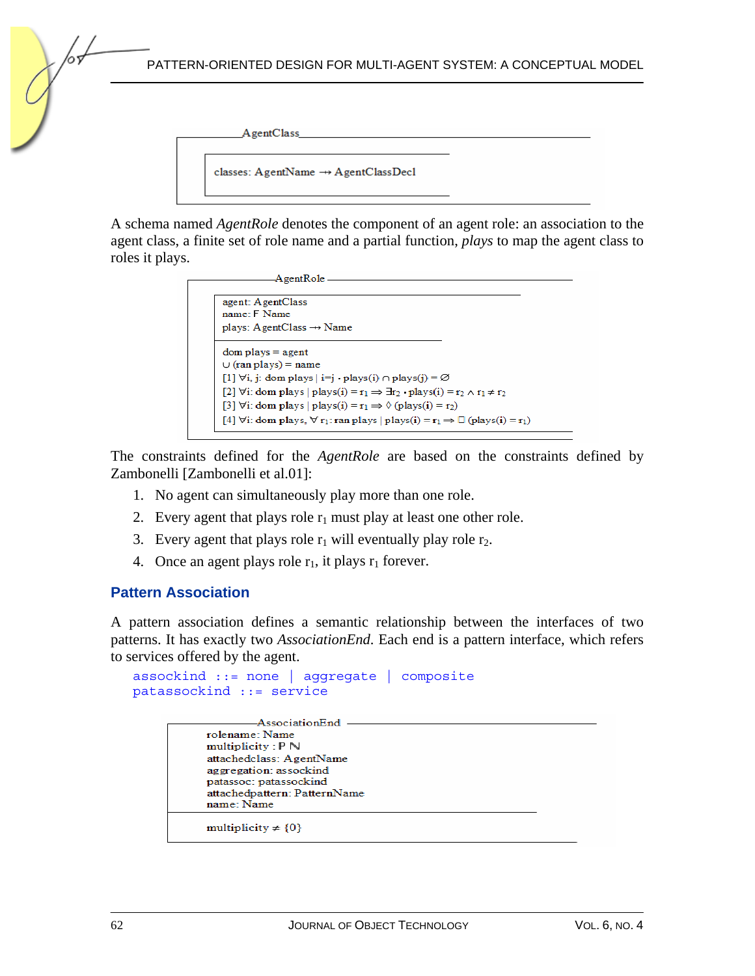PATTERN-ORIENTED DESIGN FOR MULTI-AGENT SYSTEM: A CONCEPTUAL MODEL

AgentClass

classes: AgentName ->> AgentClassDecl

A schema named *AgentRole* denotes the component of an agent role: an association to the agent class, a finite set of role name and a partial function, *plays* to map the agent class to roles it plays.

```
-AgentRole-
agent: AgentClass
name: F Name
plays: AgentClass \rightarrow Name
dom plays = agent
\cup (ran plays) = name
[1] \forall i, j: dom plays |i=j \cdot \text{plays}(i) \cap \text{plays}(j) = \emptyset[2] \forall i: dom plays | plays(i) = r_1 \Rightarrow \exists r_2 \cdot \text{plays}(i) = r_2 \land r_1 \neq r_2[3] \forall i: dom plays | plays(i) = r_1 \Rightarrow \Diamond (plays(i) = r_2)
[4] \forall i: dom plays, \forall r<sub>1</sub>: ran plays | plays(i) = r<sub>1</sub> \Rightarrow \Box (plays(i) = r<sub>1</sub>)
```
The constraints defined for the *AgentRole* are based on the constraints defined by Zambonelli [Zambonelli et al.01]:

- 1. No agent can simultaneously play more than one role.
- 2. Every agent that plays role  $r_1$  must play at least one other role.
- 3. Every agent that plays role  $r_1$  will eventually play role  $r_2$ .
- 4. Once an agent plays role  $r_1$ , it plays  $r_1$  forever.

#### **Pattern Association**

A pattern association defines a semantic relationship between the interfaces of two patterns. It has exactly two *AssociationEnd*. Each end is a pattern interface, which refers to services offered by the agent.

```
assockind ::= none | aggregate | composite 
patassockind ::= service
```

```
-AssociationEnd -
rolename: Name
multiplicity: P Nattachedclass: AgentName
aggregation: assockind
patassoc: patassockind
attachedpattern: PatternName
name: Name
multiplicity \neq {0}
```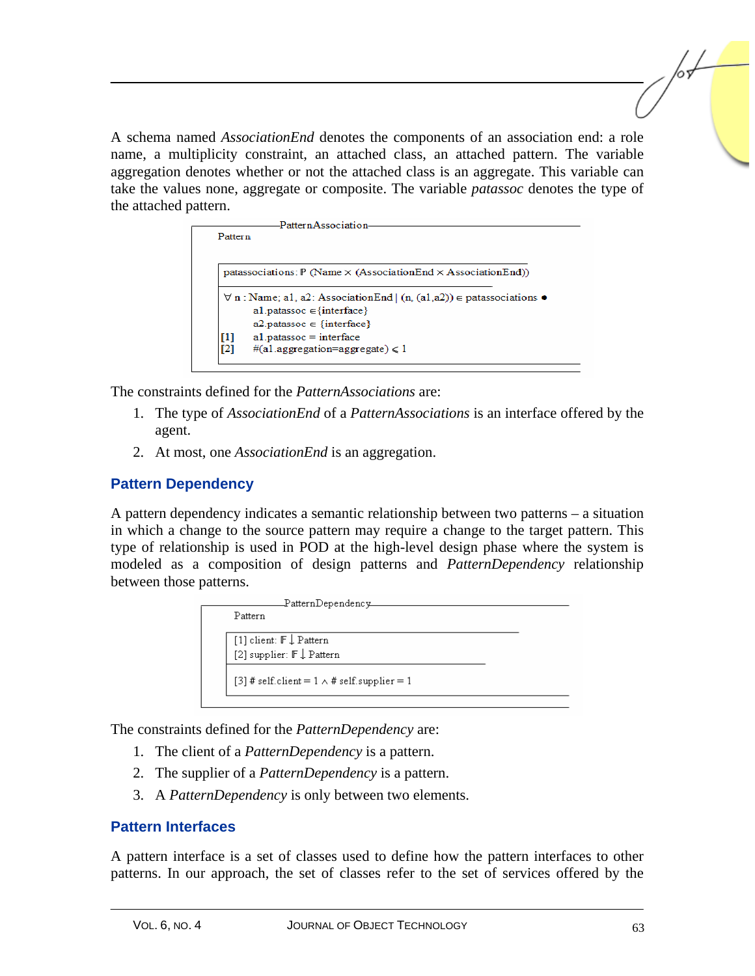A schema named *AssociationEnd* denotes the components of an association end: a role name, a multiplicity constraint, an attached class, an attached pattern. The variable aggregation denotes whether or not the attached class is an aggregate. This variable can take the values none, aggregate or composite. The variable *patassoc* denotes the type of the attached pattern.



The constraints defined for the *PatternAssociations* are:

- 1. The type of *AssociationEnd* of a *PatternAssociations* is an interface offered by the agent.
- 2. At most, one *AssociationEnd* is an aggregation.

## **Pattern Dependency**

A pattern dependency indicates a semantic relationship between two patterns – a situation in which a change to the source pattern may require a change to the target pattern. This type of relationship is used in POD at the high-level design phase where the system is modeled as a composition of design patterns and *PatternDependency* relationship between those patterns.

The constraints defined for the *PatternDependency* are:

- 1. The client of a *PatternDependency* is a pattern.
- 2. The supplier of a *PatternDependency* is a pattern.
- 3. A *PatternDependency* is only between two elements.

#### **Pattern Interfaces**

A pattern interface is a set of classes used to define how the pattern interfaces to other patterns. In our approach, the set of classes refer to the set of services offered by the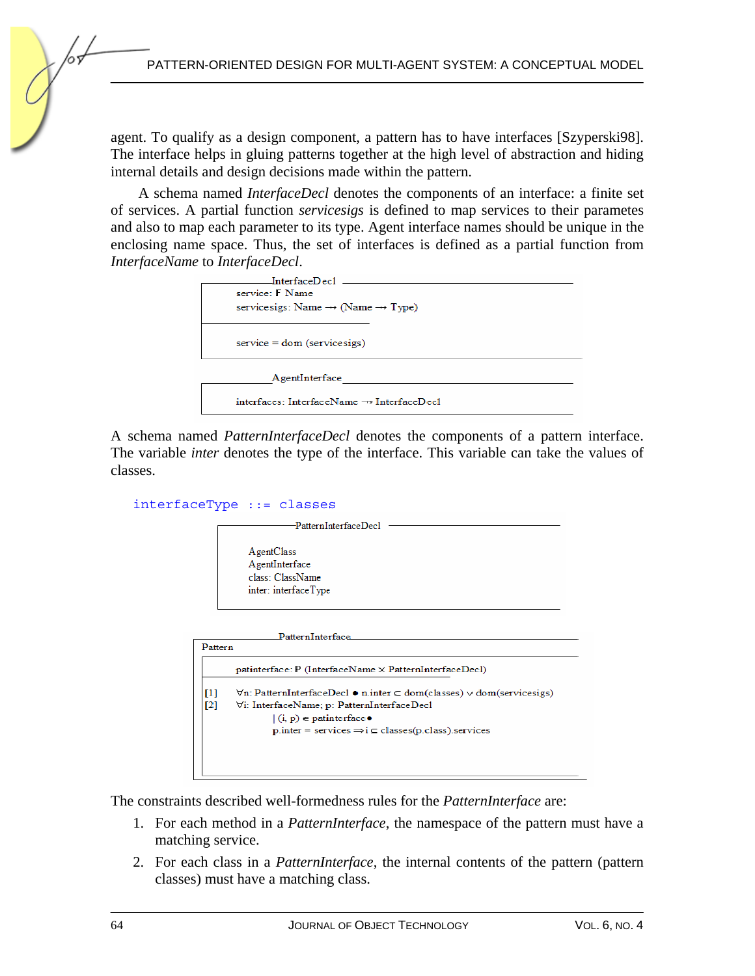agent. To qualify as a design component, a pattern has to have interfaces [Szyperski98]. The interface helps in gluing patterns together at the high level of abstraction and hiding internal details and design decisions made within the pattern.

A schema named *InterfaceDecl* denotes the components of an interface: a finite set of services. A partial function *servicesigs* is defined to map services to their parametes and also to map each parameter to its type. Agent interface names should be unique in the enclosing name space. Thus, the set of interfaces is defined as a partial function from *InterfaceName* to *InterfaceDecl*.

| $\emph{InterfaceDecl}$ ____                               |
|-----------------------------------------------------------|
| service: F Name                                           |
| servicesigs: Name $\rightarrow$ (Name $\rightarrow$ Type) |
| $service = dom (servicesigs)$                             |
| AgentInterface                                            |
| $interfaces: InterfaceName \rightarrow InterfaceDec1$     |

A schema named *PatternInterfaceDecl* denotes the components of a pattern interface. The variable *inter* denotes the type of the interface. This variable can take the values of classes.

```
interfaceType ::= classes
```


|            | <b>Pattern Interface</b>                                                                                                                                                                                                                                                 |
|------------|--------------------------------------------------------------------------------------------------------------------------------------------------------------------------------------------------------------------------------------------------------------------------|
| Pattern    |                                                                                                                                                                                                                                                                          |
|            | $\text{painterface}$ : P (InterfaceName $\times$ PatternInterfaceDecl)                                                                                                                                                                                                   |
| [1]<br>[2] | $\forall n$ : PatternInterfaceDecl • n.inter $\subseteq$ dom(classes) $\vee$ dom(servicesigs)<br>∀i: InterfaceName; p: PatternInterfaceDecl<br>$(i, p) \in$ patinterface $\bullet$<br>$p_{\text{inter}} =$ services $\Rightarrow i \subseteq$ classes(p.class). services |
|            |                                                                                                                                                                                                                                                                          |

The constraints described well-formedness rules for the *PatternInterface* are:

- 1. For each method in a *PatternInterface*, the namespace of the pattern must have a matching service.
- 2. For each class in a *PatternInterface*, the internal contents of the pattern (pattern classes) must have a matching class.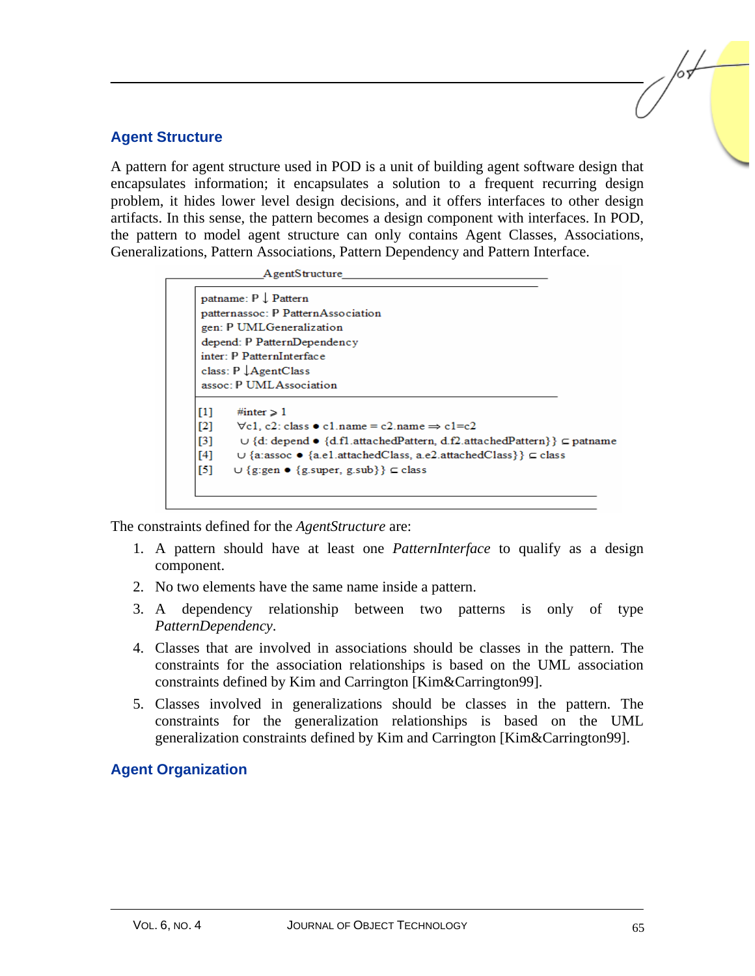### **Agent Structure**

A pattern for agent structure used in POD is a unit of building agent software design that encapsulates information; it encapsulates a solution to a frequent recurring design problem, it hides lower level design decisions, and it offers interfaces to other design artifacts. In this sense, the pattern becomes a design component with interfaces. In POD, the pattern to model agent structure can only contains Agent Classes, Associations, Generalizations, Pattern Associations, Pattern Dependency and Pattern Interface.

|          | AgentStructure                                                                      |
|----------|-------------------------------------------------------------------------------------|
|          | patname: P Pattern                                                                  |
|          | patternassoc: P PatternAssociation                                                  |
|          | gen: P UMLGeneralization                                                            |
|          | depend: P PatternDependency                                                         |
|          | inter: P PatternInterface                                                           |
|          | class: $P \downarrow$ AgentClass                                                    |
|          | assoc: P UMLAssociation                                                             |
| [1]      | #inter $>1$                                                                         |
| $\Gamma$ | $\forall$ c1, c2; class $\bullet$ c1, name = c2, name $\Rightarrow$ c1=c2           |
| [3]      | $\cup$ {d: depend • {d.fl.attachedPattern, d.f2.attachedPattern}} $\subset$ patname |
| [4]      | $\cup$ {a:assoc $\bullet$ {a.e1.attachedClass, a.e2.attachedClass}} $\subset$ class |
| [5]      | $\cup$ {g:gen • {g.super, g.sub}} $\subseteq$ class                                 |
|          |                                                                                     |

The constraints defined for the *AgentStructure* are:

- 1. A pattern should have at least one *PatternInterface* to qualify as a design component.
- 2. No two elements have the same name inside a pattern.
- 3. A dependency relationship between two patterns is only of type *PatternDependency*.
- 4. Classes that are involved in associations should be classes in the pattern. The constraints for the association relationships is based on the UML association constraints defined by Kim and Carrington [Kim&Carrington99].
- 5. Classes involved in generalizations should be classes in the pattern. The constraints for the generalization relationships is based on the UML generalization constraints defined by Kim and Carrington [Kim&Carrington99].

## **Agent Organization**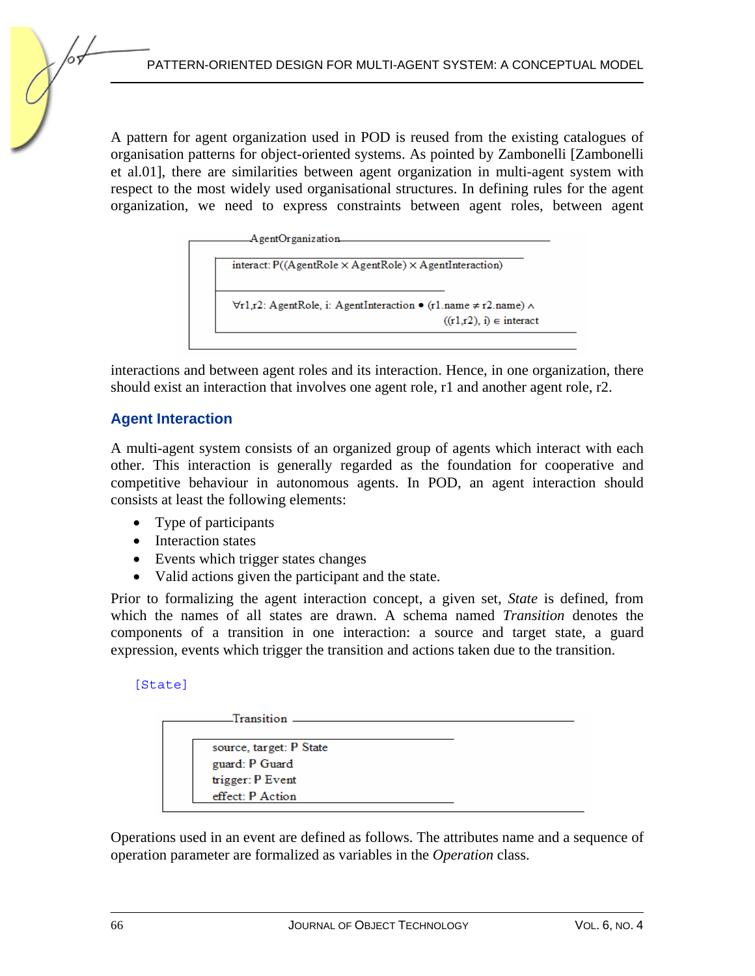A pattern for agent organization used in POD is reused from the existing catalogues of organisation patterns for object-oriented systems. As pointed by Zambonelli [Zambonelli et al.01], there are similarities between agent organization in multi-agent system with respect to the most widely used organisational structures. In defining rules for the agent organization, we need to express constraints between agent roles, between agent

```
AgentOrganization
interact: P((AgentRole × AgentRole) × AgentInteraction)
\forallr1,r2: AgentRole, i: AgentInteraction • (r1.name \neq r2.name) \land((r1,r2), i) \in interact
```
interactions and between agent roles and its interaction. Hence, in one organization, there should exist an interaction that involves one agent role, r1 and another agent role, r2.

## **Agent Interaction**

A multi-agent system consists of an organized group of agents which interact with each other. This interaction is generally regarded as the foundation for cooperative and competitive behaviour in autonomous agents. In POD, an agent interaction should consists at least the following elements:

- Type of participants
- Interaction states
- Events which trigger states changes
- Valid actions given the participant and the state.

Prior to formalizing the agent interaction concept, a given set, *State* is defined, from which the names of all states are drawn. A schema named *Transition* denotes the components of a transition in one interaction: a source and target state, a guard expression, events which trigger the transition and actions taken due to the transition.

[State]



Operations used in an event are defined as follows. The attributes name and a sequence of operation parameter are formalized as variables in the *Operation* class.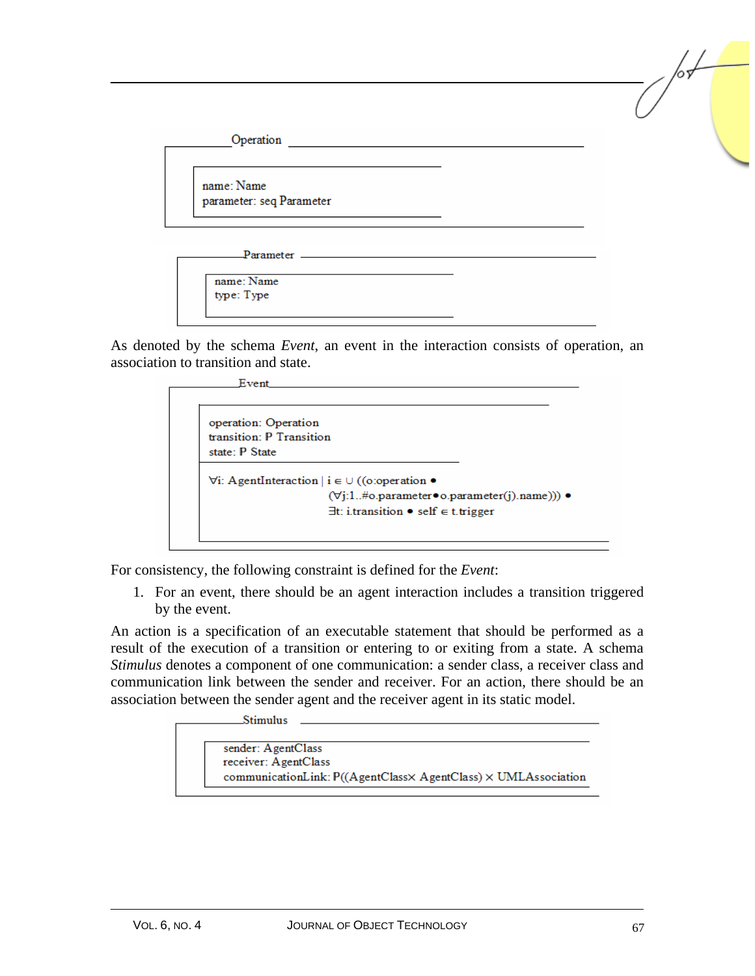

As denoted by the schema *Event*, an event in the interaction consists of operation, an association to transition and state.



For consistency, the following constraint is defined for the *Event*:

1. For an event, there should be an agent interaction includes a transition triggered by the event.

An action is a specification of an executable statement that should be performed as a result of the execution of a transition or entering to or exiting from a state. A schema *Stimulus* denotes a component of one communication: a sender class, a receiver class and communication link between the sender and receiver. For an action, there should be an association between the sender agent and the receiver agent in its static model.

Stimulus \_

| sender: AgentClass                                                |
|-------------------------------------------------------------------|
| receiver: AgentClass                                              |
| communicationLink: $P((AgenClass \times AgentClass) \times UMLAs$ |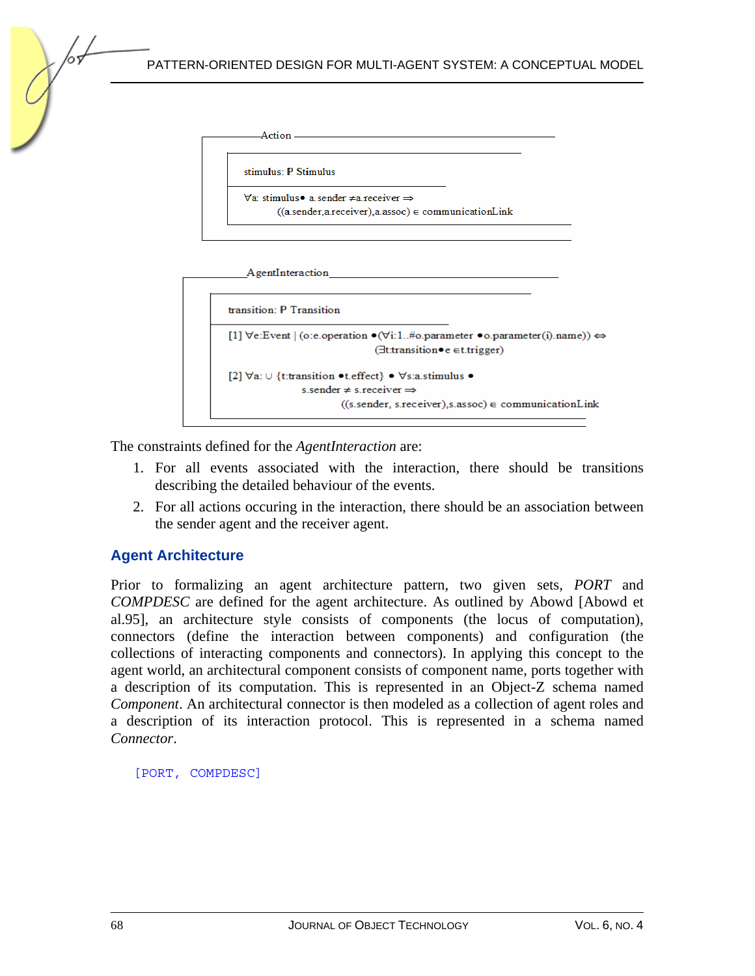| stimulus: P Stimulus |                                                                          |
|----------------------|--------------------------------------------------------------------------|
|                      | $\forall$ a: stimulus $\bullet$ a sender $\neq$ a receiver $\Rightarrow$ |
|                      | $((a.sender, a.receiver), a. assoc) \in communicationLink$               |

| <b>Agentmeraction</b>                                                                                                                                                       |
|-----------------------------------------------------------------------------------------------------------------------------------------------------------------------------|
| transition: P Transition                                                                                                                                                    |
| $[1]$ $\forall$ e:Event $ $ (o:e.operation $\bullet$ $(\forall i$ :1#o.parameter $\bullet$ o.parameter(i).name)) $\Leftrightarrow$<br>$(\exists$ t:transition•e ∈t.trigger) |
| [2] $\forall a: \cup \{t:$ transition • t.effect} • $\forall s: a \text{.stimulus}$ •<br>s sender $\neq$ s receiver $\Rightarrow$                                           |
| $((s. sender, s. receiver), s. assoc) \in communicationLink$                                                                                                                |

The constraints defined for the *AgentInteraction* are:

- 1. For all events associated with the interaction, there should be transitions describing the detailed behaviour of the events.
- 2. For all actions occuring in the interaction, there should be an association between the sender agent and the receiver agent.

## **Agent Architecture**

Prior to formalizing an agent architecture pattern, two given sets, *PORT* and *COMPDESC* are defined for the agent architecture. As outlined by Abowd [Abowd et al.95], an architecture style consists of components (the locus of computation), connectors (define the interaction between components) and configuration (the collections of interacting components and connectors). In applying this concept to the agent world, an architectural component consists of component name, ports together with a description of its computation. This is represented in an Object-Z schema named *Component*. An architectural connector is then modeled as a collection of agent roles and a description of its interaction protocol. This is represented in a schema named *Connector*.

[PORT, COMPDESC]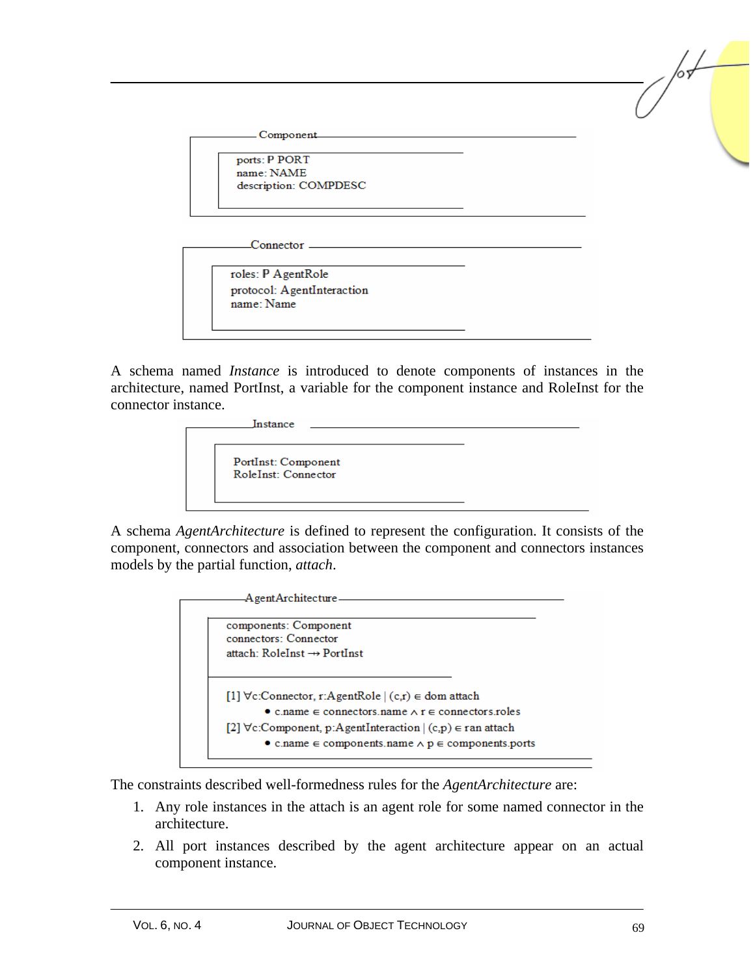Component...

ports: P PORT name: NAME description: COMPDESC

Connector<sub>-</sub>

roles: P AgentRole protocol: AgentInteraction name: Name

A schema named *Instance* is introduced to denote components of instances in the architecture, named PortInst, a variable for the component instance and RoleInst for the connector instance.



A schema *AgentArchitecture* is defined to represent the configuration. It consists of the component, connectors and association between the component and connectors instances models by the partial function, *attach*.



The constraints described well-formedness rules for the *AgentArchitecture* are:

- 1. Any role instances in the attach is an agent role for some named connector in the architecture.
- 2. All port instances described by the agent architecture appear on an actual component instance.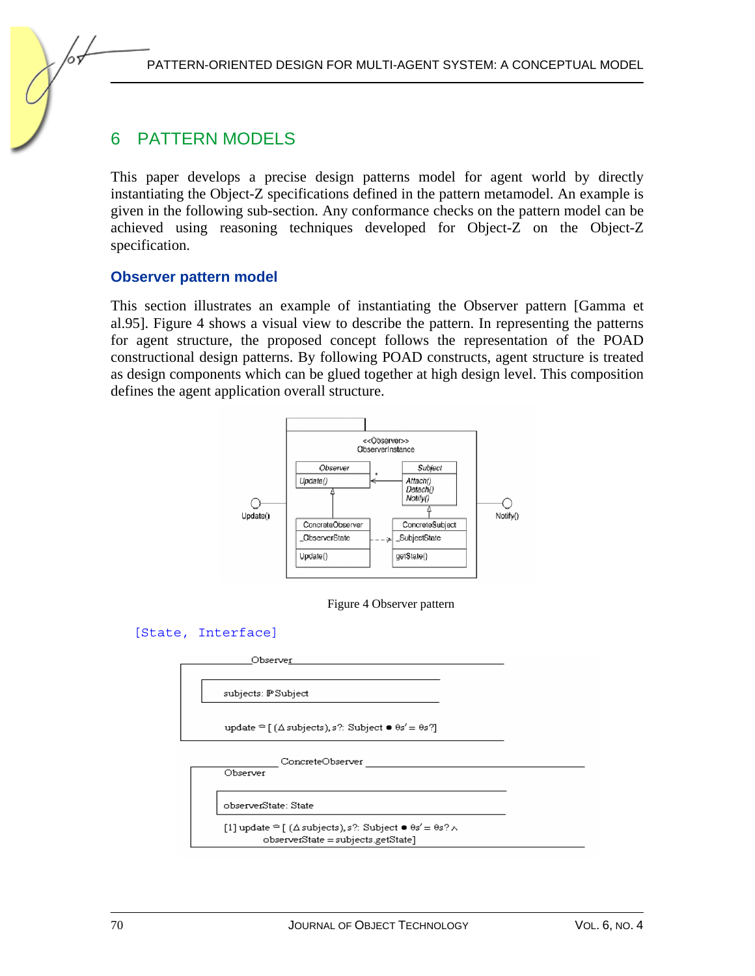# 6 PATTERN MODELS

This paper develops a precise design patterns model for agent world by directly instantiating the Object-Z specifications defined in the pattern metamodel. An example is given in the following sub-section. Any conformance checks on the pattern model can be achieved using reasoning techniques developed for Object-Z on the Object-Z specification.

#### **Observer pattern model**

This section illustrates an example of instantiating the Observer pattern [Gamma et al.95]. Figure 4 shows a visual view to describe the pattern. In representing the patterns for agent structure, the proposed concept follows the representation of the POAD constructional design patterns. By following POAD constructs, agent structure is treated as design components which can be glued together at high design level. This composition defines the agent application overall structure.



Figure 4 Observer pattern

```
[State, Interface]
```
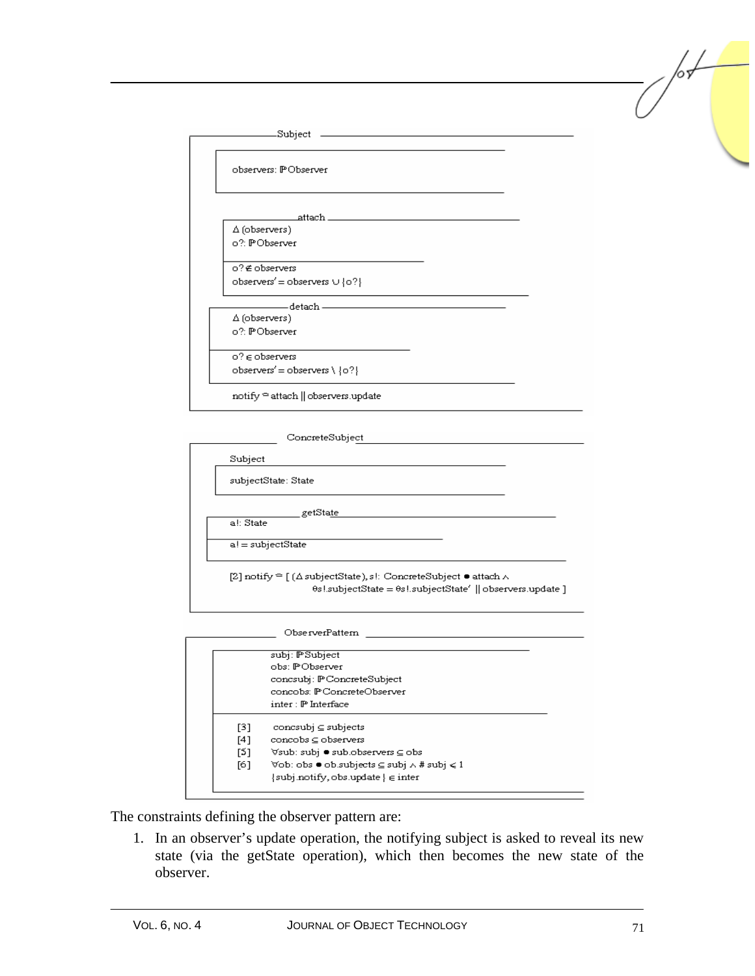| .Subject                                       |  |
|------------------------------------------------|--|
| observers: PObserver                           |  |
| _attach __________________                     |  |
| ∆ (observers)                                  |  |
| o?: PObserver                                  |  |
| o?∉ observers                                  |  |
| observers' = observers $\cup$ {0?}             |  |
| ——detach ————————                              |  |
| $\Delta$ (observers)                           |  |
| o?: PObserver                                  |  |
| $0?$ $\in$ observers                           |  |
| observers' = observers \ ${o?}$                |  |
| notify <sup>≏</sup> attach    observers.update |  |

ConcreteSubject Subject subjectState: State \_getSta<u>te\_</u> al: State  $a! = subjectState$ [2] notify  $\cong$  [ ( $\Delta$  subjectState), s!: ConcreteSubject  $\bullet$  attach  $\wedge$ 0s!subjectState = 0s!subjectState' || observers.update ] \_ ObserverPattern

|     | subj: PSubject                                                                   |
|-----|----------------------------------------------------------------------------------|
|     | obs: PObserver                                                                   |
|     | concsubj: PConcreteSubject                                                       |
|     | concobs: P.ConcreteObserver                                                      |
|     | inter : IP Interface                                                             |
| [3] | $\text{concsubi} \subseteq \text{subjects}$                                      |
| [4] | $concobs \subseteq observers$                                                    |
| [5] | ∀sub: subj ● sub.observers ⊆ obs                                                 |
| [6] | $\forall$ ob: obs $\bullet$ ob.subjects $\subseteq$ subj $\land$ # subj $\leq 1$ |
|     |                                                                                  |

The constraints defining the observer pattern are:

1. In an observer's update operation, the notifying subject is asked to reveal its new state (via the getState operation), which then becomes the new state of the observer.

 $\sqrt{2}$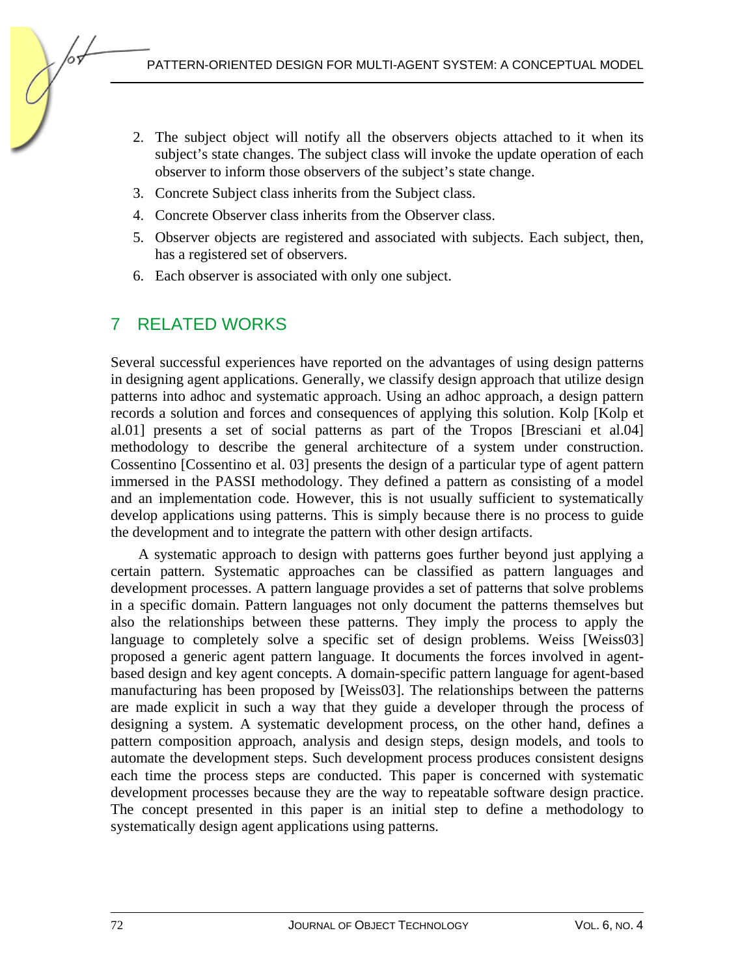- 2. The subject object will notify all the observers objects attached to it when its subject's state changes. The subject class will invoke the update operation of each observer to inform those observers of the subject's state change.
- 3. Concrete Subject class inherits from the Subject class.
- 4. Concrete Observer class inherits from the Observer class.
- 5. Observer objects are registered and associated with subjects. Each subject, then, has a registered set of observers.
- 6. Each observer is associated with only one subject.

# 7 RELATED WORKS

Several successful experiences have reported on the advantages of using design patterns in designing agent applications. Generally, we classify design approach that utilize design patterns into adhoc and systematic approach. Using an adhoc approach, a design pattern records a solution and forces and consequences of applying this solution. Kolp [Kolp et al.01] presents a set of social patterns as part of the Tropos [Bresciani et al.04] methodology to describe the general architecture of a system under construction. Cossentino [Cossentino et al. 03] presents the design of a particular type of agent pattern immersed in the PASSI methodology. They defined a pattern as consisting of a model and an implementation code. However, this is not usually sufficient to systematically develop applications using patterns. This is simply because there is no process to guide the development and to integrate the pattern with other design artifacts.

A systematic approach to design with patterns goes further beyond just applying a certain pattern. Systematic approaches can be classified as pattern languages and development processes. A pattern language provides a set of patterns that solve problems in a specific domain. Pattern languages not only document the patterns themselves but also the relationships between these patterns. They imply the process to apply the language to completely solve a specific set of design problems. Weiss [Weiss03] proposed a generic agent pattern language. It documents the forces involved in agentbased design and key agent concepts. A domain-specific pattern language for agent-based manufacturing has been proposed by [Weiss03]. The relationships between the patterns are made explicit in such a way that they guide a developer through the process of designing a system. A systematic development process, on the other hand, defines a pattern composition approach, analysis and design steps, design models, and tools to automate the development steps. Such development process produces consistent designs each time the process steps are conducted. This paper is concerned with systematic development processes because they are the way to repeatable software design practice. The concept presented in this paper is an initial step to define a methodology to systematically design agent applications using patterns.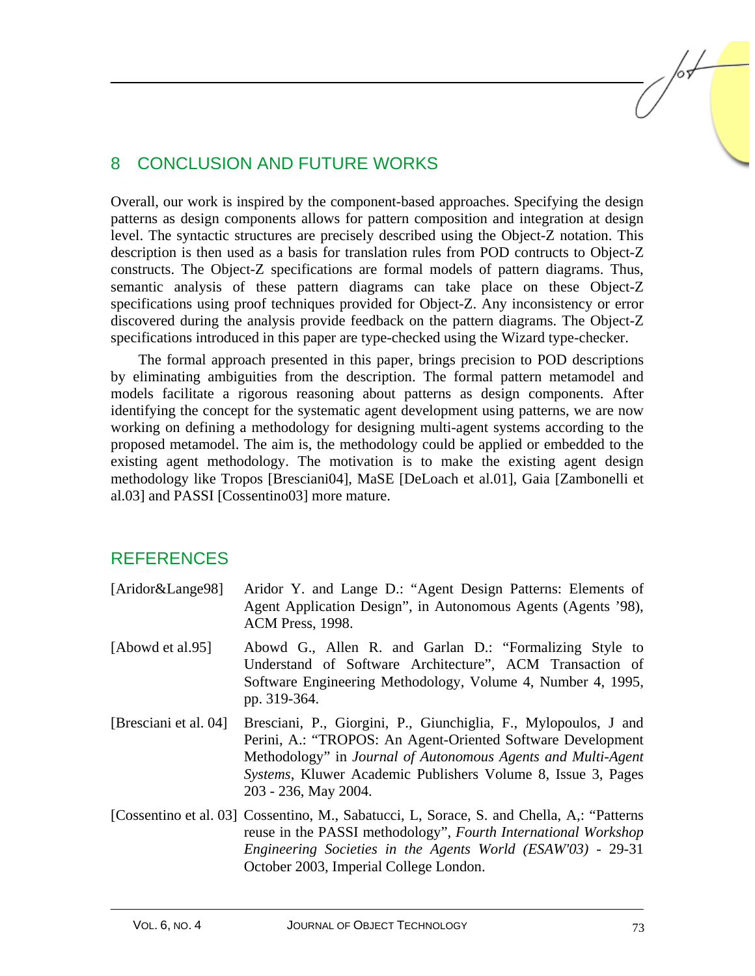# 8 CONCLUSION AND FUTURE WORKS

Overall, our work is inspired by the component-based approaches. Specifying the design patterns as design components allows for pattern composition and integration at design level. The syntactic structures are precisely described using the Object-Z notation. This description is then used as a basis for translation rules from POD contructs to Object-Z constructs. The Object-Z specifications are formal models of pattern diagrams. Thus, semantic analysis of these pattern diagrams can take place on these Object-Z specifications using proof techniques provided for Object-Z. Any inconsistency or error discovered during the analysis provide feedback on the pattern diagrams. The Object-Z specifications introduced in this paper are type-checked using the Wizard type-checker.

The formal approach presented in this paper, brings precision to POD descriptions by eliminating ambiguities from the description. The formal pattern metamodel and models facilitate a rigorous reasoning about patterns as design components. After identifying the concept for the systematic agent development using patterns, we are now working on defining a methodology for designing multi-agent systems according to the proposed metamodel. The aim is, the methodology could be applied or embedded to the existing agent methodology. The motivation is to make the existing agent design methodology like Tropos [Bresciani04], MaSE [DeLoach et al.01], Gaia [Zambonelli et al.03] and PASSI [Cossentino03] more mature.

## **REFERENCES**

- [Aridor&Lange98] Aridor Y. and Lange D.: "Agent Design Patterns: Elements of Agent Application Design", in Autonomous Agents (Agents '98), ACM Press, 1998.
- [Abowd et al.95] Abowd G., Allen R. and Garlan D.: "Formalizing Style to Understand of Software Architecture", ACM Transaction of Software Engineering Methodology, Volume 4, Number 4, 1995, pp. 319-364.
- [Bresciani et al. 04] Bresciani, P., Giorgini, P., Giunchiglia, F., Mylopoulos, J and Perini, A.: "TROPOS: An Agent-Oriented Software Development Methodology" in *Journal of Autonomous Agents and Multi-Agent Systems*, Kluwer Academic Publishers Volume 8, Issue 3, Pages 203 - 236, May 2004.
- [Cossentino et al. 03] Cossentino, M., Sabatucci, L, Sorace, S. and Chella, A,: "Patterns reuse in the PASSI methodology", *Fourth International Workshop Engineering Societies in the Agents World (ESAW'03)* - 29-31 October 2003, Imperial College London.

lsL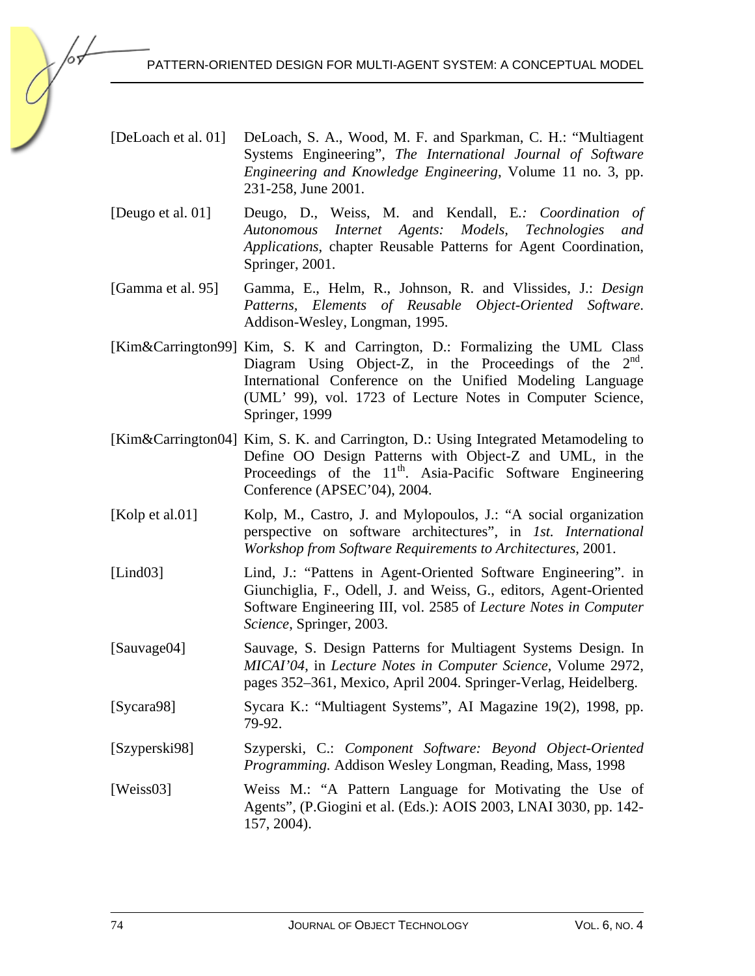- [DeLoach et al. 01] DeLoach, S. A., Wood, M. F. and Sparkman, C. H.: "Multiagent Systems Engineering", *The International Journal of Software Engineering and Knowledge Engineering*, Volume 11 no. 3, pp. 231-258, June 2001.
- [Deugo et al. 01] Deugo, D., Weiss, M. and Kendall, E*.: Coordination of Autonomous Internet Agents: Models, Technologies and Applications*, chapter Reusable Patterns for Agent Coordination, Springer, 2001.
- [Gamma et al. 95] Gamma, E., Helm, R., Johnson, R. and Vlissides, J.: *Design Patterns, Elements of Reusable Object-Oriented Software*. Addison-Wesley, Longman, 1995.
- [Kim&Carrington99] Kim, S. K and Carrington, D.: Formalizing the UML Class Diagram Using Object-Z, in the Proceedings of the  $2<sup>nd</sup>$ . International Conference on the Unified Modeling Language (UML' 99), vol. 1723 of Lecture Notes in Computer Science, Springer, 1999
- [Kim&Carrington04] Kim, S. K. and Carrington, D.: Using Integrated Metamodeling to Define OO Design Patterns with Object-Z and UML, in the Proceedings of the 11<sup>th</sup>. Asia-Pacific Software Engineering Conference (APSEC'04), 2004.
- [Kolp et al.01] Kolp, M., Castro, J. and Mylopoulos, J.: "A social organization perspective on software architectures", in *1st. International Workshop from Software Requirements to Architectures*, 2001.
- [Lind03] Lind, J.: "Pattens in Agent-Oriented Software Engineering". in Giunchiglia, F., Odell, J. and Weiss, G., editors, Agent-Oriented Software Engineering III, vol. 2585 of *Lecture Notes in Computer Science*, Springer, 2003.
- [Sauvage04] Sauvage, S. Design Patterns for Multiagent Systems Design. In *MICAI'04*, in *Lecture Notes in Computer Science*, Volume 2972, pages 352–361, Mexico, April 2004. Springer-Verlag, Heidelberg.
- [Sycara98] Sycara K.: "Multiagent Systems", AI Magazine 19(2), 1998, pp. 79-92.
- [Szyperski98] Szyperski, C.: *Component Software: Beyond Object-Oriented Programming.* Addison Wesley Longman, Reading, Mass, 1998
- [Weiss03] Weiss M.: "A Pattern Language for Motivating the Use of Agents", (P.Giogini et al. (Eds.): AOIS 2003, LNAI 3030, pp. 142- 157, 2004).